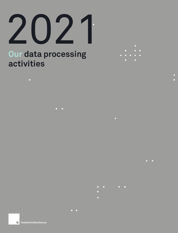

# **Our data processing activities**

 $\Box$   $\Box$ 

 $\Box$  $\Box$ п п

œ  $\Box$ о о п п

n

**[thetechcollective.eu](https://thetechcollective.eu/)**

 $\overline{\phantom{a}}$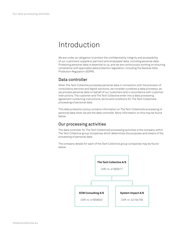# Introduction

We are under an obligation to protect the confidentiality, integrity and accessibility of our customers', suppliers', partners' and employees' data, including personal data. Protecting personal data is essential to us, and we are continuously working on ensuring compliance with applicable data protection legislation, including the General Data Protection Regulation (GDPR).

#### Data controller

When The Tech Collective processes personal data in connection with the provision of consultancy services and digital solutions, we consider ourselves a data processor, as we process personal data on behalf of our customers and in accordance with customer instructions. The customer and The Tech Collective enter into a data processing agreement containing instructions, terms and conditions for The Tech Collective's processing of personal data.

This data protection policy contains information on The Tech Collective's processing of personal data when we are the data controller. More information on this may be found below.

### Our processing activities

The data controller for The Tech Collective's processing activities is the company within The Tech Collective group companies which determines the purposes and means of the processing of personal data.

The company details for each of the Tech Collective group companies may be found below:

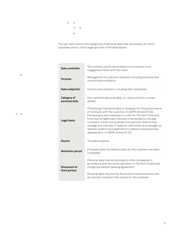$\mathbf{u}$  $\pm$  $\pm 1$  $\sim$   $\pm$  $\alpha$ 

You can read more on the categories of personal data that we process, for which purposes, and on which legal grounds in the table below:

| Data controller                     | The company which has entered into a contract or an<br>engagement letter with the client.                                                                                                                                                                                                                                                                                                                                                                                                     |
|-------------------------------------|-----------------------------------------------------------------------------------------------------------------------------------------------------------------------------------------------------------------------------------------------------------------------------------------------------------------------------------------------------------------------------------------------------------------------------------------------------------------------------------------------|
| <b>Purpose</b>                      | Management of customer relations, including financial and<br>contract administration.                                                                                                                                                                                                                                                                                                                                                                                                         |
| Data subject(s)                     | Clients and customers, including their employees.                                                                                                                                                                                                                                                                                                                                                                                                                                             |
| <b>Category of</b><br>personal data | Non-sensitive personal data, i.e. name, position, contact<br>details.                                                                                                                                                                                                                                                                                                                                                                                                                         |
| <b>Legal basis</b>                  | Processing of personal data is necessary for the performance<br>of contracts with the customer, cf. GDPR, Article 6(1)(b).<br>Processing is also necessary in order for The Tech Collective<br>to pursue its legitimate interests in being able to manage<br>contracts, invoice and evaluate the customer relationship,<br>manage and maintain IT systems, administer and manage our<br>website, systems and applications, statistics and business<br>development, cf. GDPR, Article 6(1)(f). |
| <b>Source</b>                       | The data subjects.                                                                                                                                                                                                                                                                                                                                                                                                                                                                            |
| <b>Retention period</b>             | Five years after the latest project for the customer has been<br>completed.                                                                                                                                                                                                                                                                                                                                                                                                                   |
| Disclosure to<br>third parties      | Personal data may be disclosed to other companies in<br>accordance with the terms laid down in The Tech Collective's<br>intragroup data processing agreement.<br>Personal data may also be disclosed to subcontractors who<br>are directly involved in the project for the customer.                                                                                                                                                                                                          |

 $\mathbb{R}^n \to \mathbb{R}$ 

 $\bar{\alpha}$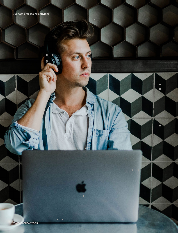Ţ

 $\overline{\phantom{a}}$ 

 $\blacksquare$ 

 $\blacksquare$  $\overline{\phantom{a}}$ 

 $\blacksquare$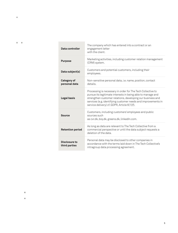| Data controller                     | The company which has entered into a contract or an<br>engagement letter<br>with the client.                                                                                                                                                                                                              |
|-------------------------------------|-----------------------------------------------------------------------------------------------------------------------------------------------------------------------------------------------------------------------------------------------------------------------------------------------------------|
| <b>Purpose</b>                      | Marketing activities, including customer relation management<br>(CRM) system.                                                                                                                                                                                                                             |
| Data subject(s)                     | Customers and potential customers, including their<br>employees.                                                                                                                                                                                                                                          |
| <b>Category of</b><br>personal data | Non-sensitive personal data, i.e. name, position, contact<br>details.                                                                                                                                                                                                                                     |
| Legal basis                         | Processing is necessary in order for The Tech Collective to<br>pursue its legitimate interests in being able to manage and<br>strengthen customer relations, developing our business and<br>services (e.g. identifying customer needs and improvements in<br>service delivery) cf. GDPR, Article 6(1)(f). |
| <b>Source</b>                       | Customers, including customers' employees and public<br>sources such<br>as cvr.dk, biq.dk, greens.dk, linkedIn.com.                                                                                                                                                                                       |
| <b>Retention period</b>             | As long as data are relevant to The Tech Collective from a<br>commercial perspective or until the data subject requests a<br>deletion of the data.                                                                                                                                                        |
| Disclosure to<br>third parties      | Personal data may be disclosed to other companies in<br>accordance with the terms laid down in The Tech Collective's<br>intragroup data processing agreement.                                                                                                                                             |

 $\mathbf{u} = \mathbf{u}$ 

 $\bar{\phantom{a}}$ 

 $\blacksquare$ 

 $\mathbb{R}^2$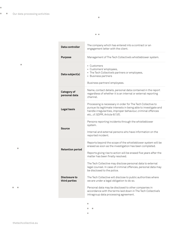$\blacksquare$ 

 $\blacksquare$ 

 $\mathbf{H}=\mathbf{H}$ 

j.

| Data controller                       | The company which has entered into a contract or an<br>engagement letter with the client.                                                                                                                                                                                                                                                                                                                                                  |  |
|---------------------------------------|--------------------------------------------------------------------------------------------------------------------------------------------------------------------------------------------------------------------------------------------------------------------------------------------------------------------------------------------------------------------------------------------------------------------------------------------|--|
| <b>Purpose</b>                        | Management of The Tech Collective's whistleblower system.                                                                                                                                                                                                                                                                                                                                                                                  |  |
| Data subject(s)                       | • Customers<br>• Customers' employees,<br>• The Tech Collective's partners or employees,<br>• Business partners<br>Business partners' employees.                                                                                                                                                                                                                                                                                           |  |
| <b>Category of</b><br>personal data   | Name, contact details, personal data contained in the report<br>regardless of whether it is an internal or external reporting<br>channel.                                                                                                                                                                                                                                                                                                  |  |
| Legal basis                           | Processing is necessary in order for The Tech Collective to<br>pursue its legitimate interests in being able to investigate and<br>handle irregularities, improper behaviour, criminal offences<br>etc., cf. GDPR, Article 6(1)(f).                                                                                                                                                                                                        |  |
| Source                                | Persons reporting incidents through the whistleblower<br>system.<br>Internal and external persons who have information on the<br>reported incident.                                                                                                                                                                                                                                                                                        |  |
| <b>Retention period</b>               | Reports beyond the scope of the whistleblower system will be<br>erased as soon as the investigation has been completed.<br>Reports giving rise to action will be erased five years after the<br>matter has been finally resolved.                                                                                                                                                                                                          |  |
| <b>Disclosure to</b><br>third parties | The Tech Collective may disclose personal data to external<br>legal counsel. In case of criminal offences, personal data may<br>be disclosed to the police.<br>The Tech Collective will disclose to public authorities where<br>we are under a legal obligation to do so.<br>Personal data may be disclosed to other companies in<br>accordance with the terms laid down in The Tech Collective's<br>intragroup data processing agreement. |  |

 $\bar{\alpha}$ 

 $\mathbf{0}$  ,  $\mathbf{0}$ 

 $\mathbf{B}=\mathbf{B}$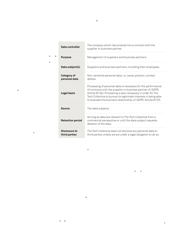|  | Data controller                       | The company which has entered into a contract with the<br>supplier or business partner.                                                                                                                                                                                                                                                  |
|--|---------------------------------------|------------------------------------------------------------------------------------------------------------------------------------------------------------------------------------------------------------------------------------------------------------------------------------------------------------------------------------------|
|  | <b>Purpose</b>                        | Management of suppliers and business partners.                                                                                                                                                                                                                                                                                           |
|  | Data subject(s)                       | Suppliers and business partners, including their employees.                                                                                                                                                                                                                                                                              |
|  | <b>Category of</b><br>personal data   | Non-sensitive personal data, i.e. name, position, contact<br>details.                                                                                                                                                                                                                                                                    |
|  | Legal basis                           | Processing of personal data is necessary for the performance<br>of contracts with the supplier or business partner, cf. GDPR,<br>Article 6(1)(b). Processing is also necessary in order for The<br>Tech Collective to pursue its legitimate interests in being able<br>to evaluate the business relationship, cf. GDPR, Article 6(1)(f). |
|  | <b>Source</b>                         | The data subjects.                                                                                                                                                                                                                                                                                                                       |
|  | <b>Retention period</b>               | As long as data are relevant to The Tech Collective from a<br>commercial perspective or until the data subject requests<br>deletion of the data.                                                                                                                                                                                         |
|  | <b>Disclosure to</b><br>third parties | The Tech Collective does not disclose any personal data to<br>third parties unless we are under a legal obligation to do so.                                                                                                                                                                                                             |

 $\mathbf{R}^{(1)}$  and

 $\sim 100$ 

 $\mathbb{R}^+$ 

 $\mathbf{u} = \mathbf{u}$  .

 $\blacksquare$ 

 $\mathcal{L}$